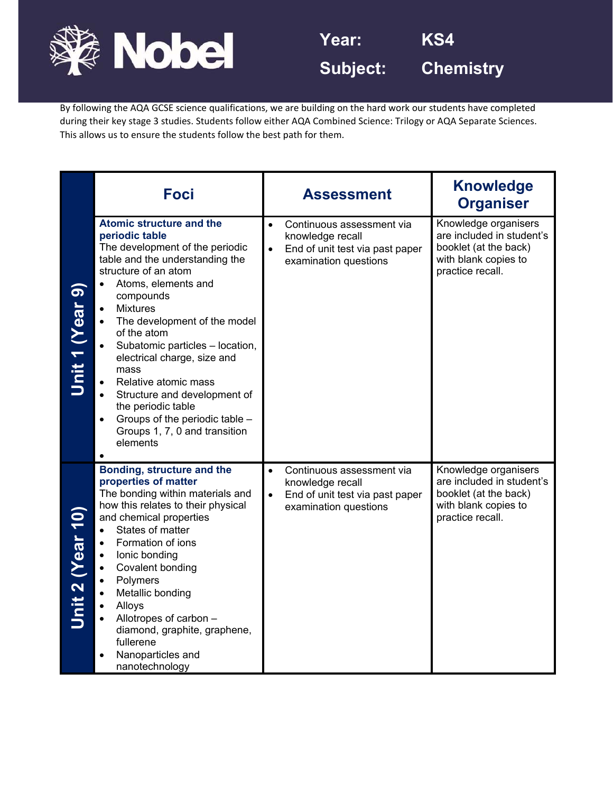

By following the AQA GCSE science qualifications, we are building on the hard work our students have completed during their key stage 3 studies. Students follow either AQA Combined Science: Trilogy or AQA Separate Sciences. This allows us to ensure the students follow the best path for them.

|                         | <b>Foci</b>                                                                                                                                                                                                                                                                                                                                                                                                                                                                                                                                      | <b>Assessment</b>                                                                                                                   | <b>Knowledge</b><br><b>Organiser</b>                                                                                   |
|-------------------------|--------------------------------------------------------------------------------------------------------------------------------------------------------------------------------------------------------------------------------------------------------------------------------------------------------------------------------------------------------------------------------------------------------------------------------------------------------------------------------------------------------------------------------------------------|-------------------------------------------------------------------------------------------------------------------------------------|------------------------------------------------------------------------------------------------------------------------|
| Unit 1 (Year 9          | <b>Atomic structure and the</b><br>periodic table<br>The development of the periodic<br>table and the understanding the<br>structure of an atom<br>Atoms, elements and<br>$\bullet$<br>compounds<br><b>Mixtures</b><br>$\bullet$<br>The development of the model<br>of the atom<br>Subatomic particles - location,<br>electrical charge, size and<br>mass<br>Relative atomic mass<br>$\bullet$<br>Structure and development of<br>the periodic table<br>Groups of the periodic table -<br>Groups 1, 7, 0 and transition<br>elements<br>$\bullet$ | Continuous assessment via<br>$\bullet$<br>knowledge recall<br>End of unit test via past paper<br>$\bullet$<br>examination questions | Knowledge organisers<br>are included in student's<br>booklet (at the back)<br>with blank copies to<br>practice recall. |
| <b>Jnit 2 (Year 10)</b> | Bonding, structure and the<br>properties of matter<br>The bonding within materials and<br>how this relates to their physical<br>and chemical properties<br>States of matter<br>$\bullet$<br>Formation of ions<br>lonic bonding<br>$\bullet$<br>Covalent bonding<br>$\bullet$<br>Polymers<br>$\bullet$<br>Metallic bonding<br>Alloys<br>Allotropes of carbon -<br>$\bullet$<br>diamond, graphite, graphene,<br>fullerene<br>Nanoparticles and<br>nanotechnology                                                                                   | Continuous assessment via<br>$\bullet$<br>knowledge recall<br>End of unit test via past paper<br>examination questions              | Knowledge organisers<br>are included in student's<br>booklet (at the back)<br>with blank copies to<br>practice recall. |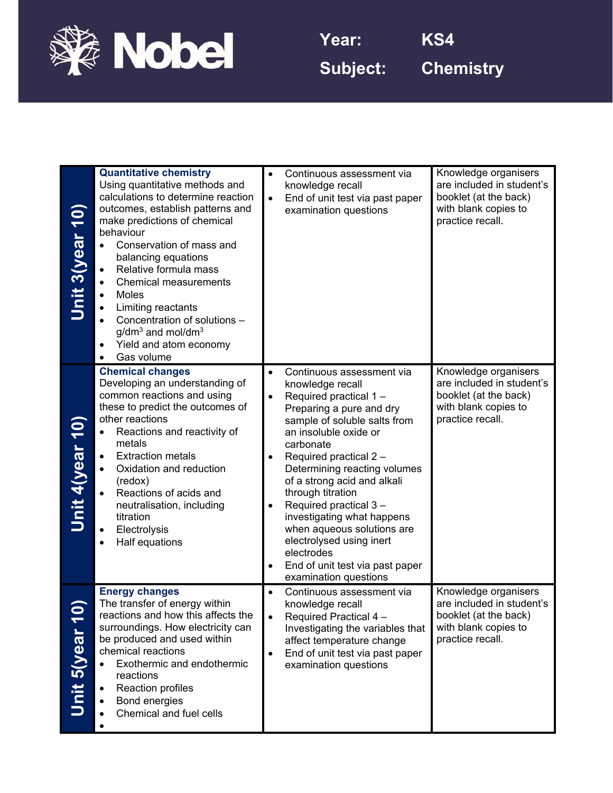

**Subject: Chemistry**

| Unit 3(year 10        | <b>Quantitative chemistry</b><br>Using quantitative methods and<br>calculations to determine reaction<br>outcomes, establish patterns and<br>make predictions of chemical<br>behaviour<br>Conservation of mass and<br>balancing equations<br>Relative formula mass<br><b>Chemical measurements</b><br>Moles<br>Limiting reactants<br>Concentration of solutions -<br>$g/dm3$ and mol/dm <sup>3</sup><br>Yield and atom economy<br>Gas volume<br>$\bullet$ | $\bullet$<br>$\bullet$                           | Continuous assessment via<br>knowledge recall<br>End of unit test via past paper<br>examination questions                                                                                                                                                                                                                                                                                                                                                                        | Knowledge organisers<br>are included in student's<br>booklet (at the back)<br>with blank copies to<br>practice recall. |
|-----------------------|-----------------------------------------------------------------------------------------------------------------------------------------------------------------------------------------------------------------------------------------------------------------------------------------------------------------------------------------------------------------------------------------------------------------------------------------------------------|--------------------------------------------------|----------------------------------------------------------------------------------------------------------------------------------------------------------------------------------------------------------------------------------------------------------------------------------------------------------------------------------------------------------------------------------------------------------------------------------------------------------------------------------|------------------------------------------------------------------------------------------------------------------------|
| <b>Unit 4(year 10</b> | <b>Chemical changes</b><br>Developing an understanding of<br>common reactions and using<br>these to predict the outcomes of<br>other reactions<br>Reactions and reactivity of<br>metals<br><b>Extraction metals</b><br>$\bullet$<br>Oxidation and reduction<br>(redox)<br>Reactions of acids and<br>neutralisation, including<br>titration<br>Electrolysis<br>Half equations                                                                              | $\bullet$<br>$\bullet$<br>$\bullet$<br>$\bullet$ | Continuous assessment via<br>knowledge recall<br>Required practical 1-<br>Preparing a pure and dry<br>sample of soluble salts from<br>an insoluble oxide or<br>carbonate<br>Required practical 2-<br>Determining reacting volumes<br>of a strong acid and alkali<br>through titration<br>Required practical 3-<br>investigating what happens<br>when aqueous solutions are<br>electrolysed using inert<br>electrodes<br>End of unit test via past paper<br>examination questions | Knowledge organisers<br>are included in student's<br>booklet (at the back)<br>with blank copies to<br>practice recall. |
| Unit 5(year 10        | <b>Energy changes</b><br>The transfer of energy within<br>reactions and how this affects the<br>surroundings. How electricity can<br>be produced and used within<br>chemical reactions<br>Exothermic and endothermic<br>reactions<br>Reaction profiles<br>Bond energies<br>Chemical and fuel cells                                                                                                                                                        | $\bullet$<br>$\bullet$<br>$\bullet$              | Continuous assessment via<br>knowledge recall<br>Required Practical 4 -<br>Investigating the variables that<br>affect temperature change<br>End of unit test via past paper<br>examination questions                                                                                                                                                                                                                                                                             | Knowledge organisers<br>are included in student's<br>booklet (at the back)<br>with blank copies to<br>practice recall. |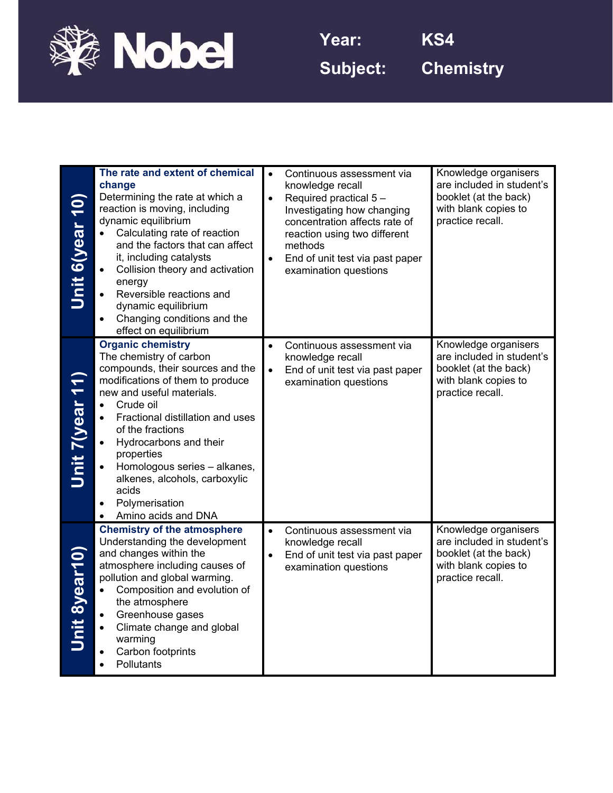

**Subject: Chemistry**

| <b>Jnit 6(year 10)</b> | The rate and extent of chemical<br>change<br>Determining the rate at which a<br>reaction is moving, including<br>dynamic equilibrium<br>Calculating rate of reaction<br>and the factors that can affect<br>it, including catalysts<br>Collision theory and activation<br>$\bullet$<br>energy<br>Reversible reactions and<br>$\bullet$<br>dynamic equilibrium<br>Changing conditions and the<br>$\bullet$<br>effect on equilibrium                         | $\bullet$<br>$\bullet$ | Continuous assessment via<br>knowledge recall<br>Required practical 5-<br>Investigating how changing<br>concentration affects rate of<br>reaction using two different<br>methods<br>End of unit test via past paper<br>examination questions | Knowledge organisers<br>are included in student's<br>booklet (at the back)<br>with blank copies to<br>practice recall. |
|------------------------|-----------------------------------------------------------------------------------------------------------------------------------------------------------------------------------------------------------------------------------------------------------------------------------------------------------------------------------------------------------------------------------------------------------------------------------------------------------|------------------------|----------------------------------------------------------------------------------------------------------------------------------------------------------------------------------------------------------------------------------------------|------------------------------------------------------------------------------------------------------------------------|
| <b>Unit 7(year 11</b>  | <b>Organic chemistry</b><br>The chemistry of carbon<br>compounds, their sources and the<br>modifications of them to produce<br>new and useful materials.<br>Crude oil<br>$\bullet$<br>Fractional distillation and uses<br>$\bullet$<br>of the fractions<br>Hydrocarbons and their<br>properties<br>Homologous series - alkanes,<br>$\bullet$<br>alkenes, alcohols, carboxylic<br>acids<br>Polymerisation<br>$\bullet$<br>Amino acids and DNA<br>$\bullet$ | $\bullet$<br>$\bullet$ | Continuous assessment via<br>knowledge recall<br>End of unit test via past paper<br>examination questions                                                                                                                                    | Knowledge organisers<br>are included in student's<br>booklet (at the back)<br>with blank copies to<br>practice recall. |
| <u>Unit 8year10)</u>   | <b>Chemistry of the atmosphere</b><br>Understanding the development<br>and changes within the<br>atmosphere including causes of<br>pollution and global warming.<br>Composition and evolution of<br>the atmosphere<br>Greenhouse gases<br>Climate change and global<br>$\bullet$<br>warming<br>Carbon footprints<br>$\bullet$<br>Pollutants<br>$\bullet$                                                                                                  | $\bullet$              | Continuous assessment via<br>knowledge recall<br>End of unit test via past paper<br>examination questions                                                                                                                                    | Knowledge organisers<br>are included in student's<br>booklet (at the back)<br>with blank copies to<br>practice recall. |